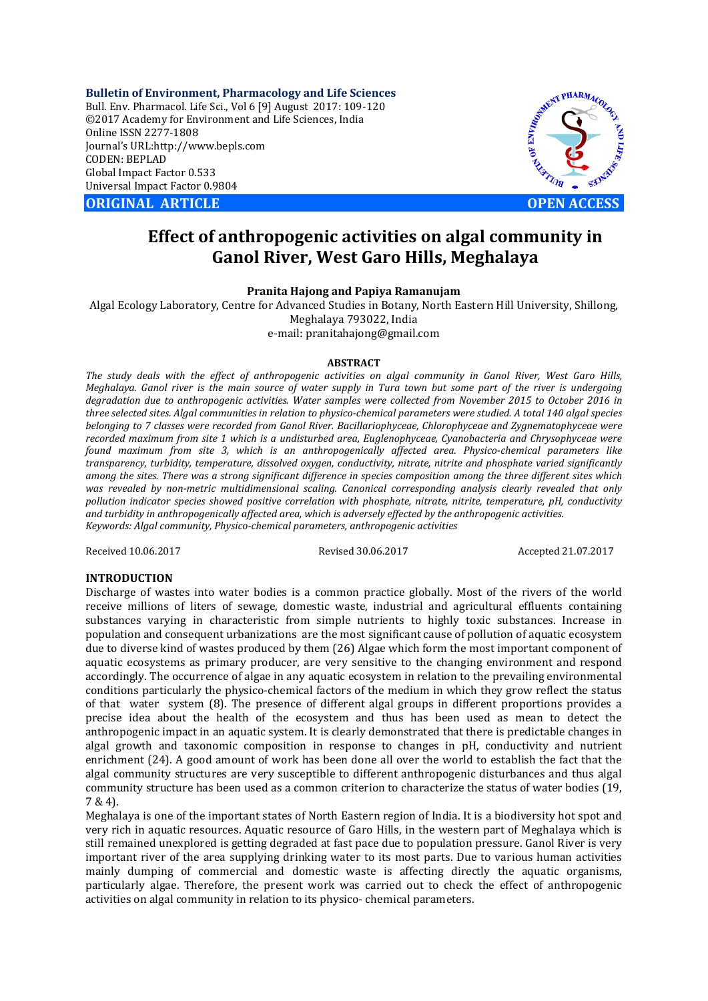**Bulletin of Environment, Pharmacology and Life Sciences** Bull. Env. Pharmacol. Life Sci., Vol 6 [9] August 2017: 109-120 ©2017 Academy for Environment and Life Sciences, India Online ISSN 2277-1808 Journal's URL:http://www.bepls.com CODEN: BEPLAD Global Impact Factor 0.533 Universal Impact Factor 0.9804

**ORIGINAL ARTICLE CONSUMING ARTICLE CONSUMING A REPORT OF EXAMPLE A OPEN ACCESS** 



# **Effect of anthropogenic activities on algal community in Ganol River, West Garo Hills, Meghalaya**

## **Pranita Hajong and Papiya Ramanujam**

Algal Ecology Laboratory, Centre for Advanced Studies in Botany, North Eastern Hill University, Shillong, Meghalaya 793022, India e-mail: pranitahajong@gmail.com

#### **ABSTRACT**

*The study deals with the effect of anthropogenic activities on algal community in Ganol River, West Garo Hills, Meghalaya. Ganol river is the main source of water supply in Tura town but some part of the river is undergoing degradation due to anthropogenic activities. Water samples were collected from November 2015 to October 2016 in three selected sites. Algal communities in relation to physico-chemical parameters were studied. A total 140 algal species belonging to 7 classes were recorded from Ganol River. Bacillariophyceae, Chlorophyceae and Zygnematophyceae were recorded maximum from site 1 which is a undisturbed area, Euglenophyceae, Cyanobacteria and Chrysophyceae were found maximum from site 3, which is an anthropogenically affected area. Physico-chemical parameters like transparency, turbidity, temperature, dissolved oxygen, conductivity, nitrate, nitrite and phosphate varied significantly among the sites. There was a strong significant difference in species composition among the three different sites which*  was revealed by non-metric multidimensional scaling. Canonical corresponding analysis clearly revealed that only *pollution indicator species showed positive correlation with phosphate, nitrate, nitrite, temperature, pH, conductivity and turbidity in anthropogenically affected area, which is adversely effected by the anthropogenic activities. Keywords: Algal community, Physico-chemical parameters, anthropogenic activities*

Received 10.06.2017 Revised 30.06.2017 Accepted 21.07.2017

#### **INTRODUCTION**

Discharge of wastes into water bodies is a common practice globally. Most of the rivers of the world receive millions of liters of sewage, domestic waste, industrial and agricultural effluents containing substances varying in characteristic from simple nutrients to highly toxic substances. Increase in population and consequent urbanizations are the most significant cause of pollution of aquatic ecosystem due to diverse kind of wastes produced by them (26) Algae which form the most important component of aquatic ecosystems as primary producer, are very sensitive to the changing environment and respond accordingly. The occurrence of algae in any aquatic ecosystem in relation to the prevailing environmental conditions particularly the physico-chemical factors of the medium in which they grow reflect the status of that water system (8). The presence of different algal groups in different proportions provides a precise idea about the health of the ecosystem and thus has been used as mean to detect the anthropogenic impact in an aquatic system. It is clearly demonstrated that there is predictable changes in algal growth and taxonomic composition in response to changes in pH, conductivity and nutrient enrichment (24). A good amount of work has been done all over the world to establish the fact that the algal community structures are very susceptible to different anthropogenic disturbances and thus algal community structure has been used as a common criterion to characterize the status of water bodies (19, 7 & 4).

Meghalaya is one of the important states of North Eastern region of India. It is a biodiversity hot spot and very rich in aquatic resources. Aquatic resource of Garo Hills, in the western part of Meghalaya which is still remained unexplored is getting degraded at fast pace due to population pressure. Ganol River is very important river of the area supplying drinking water to its most parts. Due to various human activities mainly dumping of commercial and domestic waste is affecting directly the aquatic organisms, particularly algae. Therefore, the present work was carried out to check the effect of anthropogenic activities on algal community in relation to its physico- chemical parameters.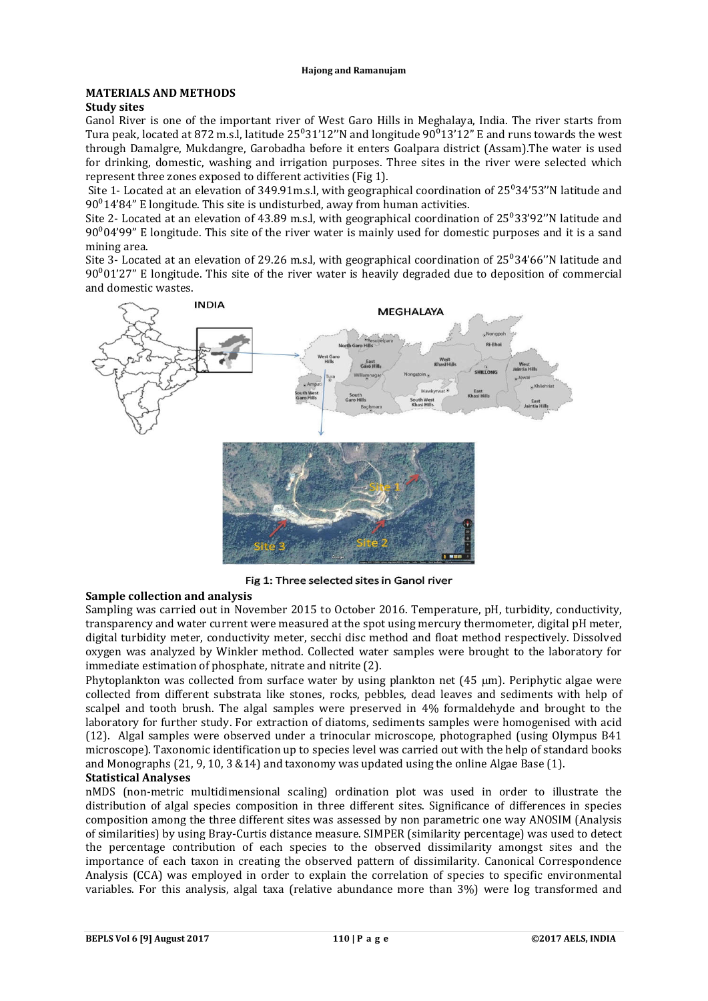# **MATERIALS AND METHODS**

## **Study sites**

Ganol River is one of the important river of West Garo Hills in Meghalaya, India. The river starts from Tura peak, located at 872 m.s.l, latitude  $25^{\circ}31'12''N$  and longitude  $90^{\circ}13'12''$  E and runs towards the west through Damalgre, Mukdangre, Garobadha before it enters Goalpara district (Assam).The water is used for drinking, domestic, washing and irrigation purposes. Three sites in the river were selected which represent three zones exposed to different activities (Fig 1).

Site 1- Located at an elevation of 349.91 m.s.l, with geographical coordination of  $25^{\circ}34'53''$ N latitude and  $90^{\circ}14'84''$  E longitude. This site is undisturbed, away from human activities.

Site 2- Located at an elevation of 43.89 m.s.l, with geographical coordination of  $25^033'92''N$  latitude and  $90^004'99''$  E longitude. This site of the river water is mainly used for domestic purposes and it is a sand mining area.

Site 3- Located at an elevation of 29.26 m.s.l, with geographical coordination of  $25^{\circ}34'66''$ N latitude and  $90^{\circ}01'27''$  E longitude. This site of the river water is heavily degraded due to deposition of commercial and domestic wastes.



Fig 1: Three selected sites in Ganol river

# **Sample collection and analysis**

Sampling was carried out in November 2015 to October 2016. Temperature, pH, turbidity, conductivity, transparency and water current were measured at the spot using mercury thermometer, digital pH meter, digital turbidity meter, conductivity meter, secchi disc method and float method respectively. Dissolved oxygen was analyzed by Winkler method. Collected water samples were brought to the laboratory for immediate estimation of phosphate, nitrate and nitrite (2).

Phytoplankton was collected from surface water by using plankton net  $(45 \mu m)$ . Periphytic algae were collected from different substrata like stones, rocks, pebbles, dead leaves and sediments with help of scalpel and tooth brush. The algal samples were preserved in 4% formaldehyde and brought to the laboratory for further study. For extraction of diatoms, sediments samples were homogenised with acid (12). Algal samples were observed under a trinocular microscope, photographed (using Olympus B41 microscope). Taxonomic identification up to species level was carried out with the help of standard books and Monographs (21, 9, 10, 3 &14) and taxonomy was updated using the online Algae Base (1).

#### **Statistical Analyses**

nMDS (non-metric multidimensional scaling) ordination plot was used in order to illustrate the distribution of algal species composition in three different sites. Significance of differences in species composition among the three different sites was assessed by non parametric one way ANOSIM (Analysis of similarities) by using Bray-Curtis distance measure. SIMPER (similarity percentage) was used to detect the percentage contribution of each species to the observed dissimilarity amongst sites and the importance of each taxon in creating the observed pattern of dissimilarity. Canonical Correspondence Analysis (CCA) was employed in order to explain the correlation of species to specific environmental variables. For this analysis, algal taxa (relative abundance more than 3%) were log transformed and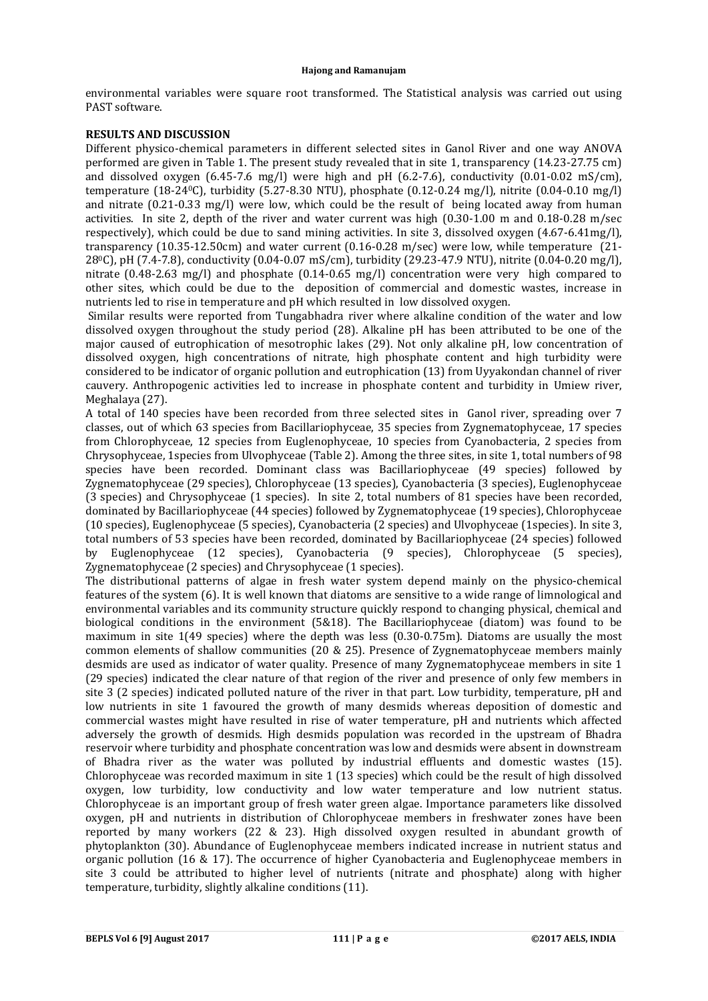environmental variables were square root transformed. The Statistical analysis was carried out using PAST software.

# **RESULTS AND DISCUSSION**

Different physico-chemical parameters in different selected sites in Ganol River and one way ANOVA performed are given in Table 1. The present study revealed that in site 1, transparency (14.23-27.75 cm) and dissolved oxygen  $(6.45-7.6 \text{ mg/l})$  were high and pH  $(6.2-7.6)$ , conductivity  $(0.01-0.02 \text{ ms/cm})$ , temperature (18-240C), turbidity (5.27-8.30 NTU), phosphate (0.12-0.24 mg/l), nitrite (0.04-0.10 mg/l) and nitrate (0.21-0.33 mg/l) were low, which could be the result of being located away from human activities. In site 2, depth of the river and water current was high (0.30-1.00 m and 0.18-0.28 m/sec respectively), which could be due to sand mining activities. In site 3, dissolved oxygen (4.67-6.41mg/l), transparency (10.35-12.50cm) and water current (0.16-0.28 m/sec) were low, while temperature (21- 280C), pH (7.4-7.8), conductivity (0.04-0.07 mS/cm), turbidity (29.23-47.9 NTU), nitrite (0.04-0.20 mg/l), nitrate (0.48-2.63 mg/l) and phosphate (0.14-0.65 mg/l) concentration were very high compared to other sites, which could be due to the deposition of commercial and domestic wastes, increase in nutrients led to rise in temperature and pH which resulted in low dissolved oxygen.

Similar results were reported from Tungabhadra river where alkaline condition of the water and low dissolved oxygen throughout the study period (28). Alkaline pH has been attributed to be one of the major caused of eutrophication of mesotrophic lakes (29). Not only alkaline pH, low concentration of dissolved oxygen, high concentrations of nitrate, high phosphate content and high turbidity were considered to be indicator of organic pollution and eutrophication (13) from Uyyakondan channel of river cauvery. Anthropogenic activities led to increase in phosphate content and turbidity in Umiew river, Meghalaya (27).

A total of 140 species have been recorded from three selected sites in Ganol river, spreading over 7 classes, out of which 63 species from Bacillariophyceae, 35 species from Zygnematophyceae, 17 species from Chlorophyceae, 12 species from Euglenophyceae, 10 species from Cyanobacteria, 2 species from Chrysophyceae, 1species from Ulvophyceae (Table 2). Among the three sites, in site 1, total numbers of 98 species have been recorded. Dominant class was Bacillariophyceae (49 species) followed by Zygnematophyceae (29 species), Chlorophyceae (13 species), Cyanobacteria (3 species), Euglenophyceae (3 species) and Chrysophyceae (1 species). In site 2, total numbers of 81 species have been recorded, dominated by Bacillariophyceae (44 species) followed by Zygnematophyceae (19 species), Chlorophyceae (10 species), Euglenophyceae (5 species), Cyanobacteria (2 species) and Ulvophyceae (1species). In site 3, total numbers of 53 species have been recorded, dominated by Bacillariophyceae (24 species) followed by Euglenophyceae (12 species), Cyanobacteria (9 species), Chlorophyceae (5 species), Zygnematophyceae (2 species) and Chrysophyceae (1 species).

The distributional patterns of algae in fresh water system depend mainly on the physico-chemical features of the system (6). It is well known that diatoms are sensitive to a wide range of limnological and environmental variables and its community structure quickly respond to changing physical, chemical and biological conditions in the environment (5&18). The Bacillariophyceae (diatom) was found to be maximum in site 1(49 species) where the depth was less (0.30-0.75m). Diatoms are usually the most common elements of shallow communities (20 & 25). Presence of Zygnematophyceae members mainly desmids are used as indicator of water quality. Presence of many Zygnematophyceae members in site 1 (29 species) indicated the clear nature of that region of the river and presence of only few members in site 3 (2 species) indicated polluted nature of the river in that part. Low turbidity, temperature, pH and low nutrients in site 1 favoured the growth of many desmids whereas deposition of domestic and commercial wastes might have resulted in rise of water temperature, pH and nutrients which affected adversely the growth of desmids. High desmids population was recorded in the upstream of Bhadra reservoir where turbidity and phosphate concentration was low and desmids were absent in downstream of Bhadra river as the water was polluted by industrial effluents and domestic wastes (15). Chlorophyceae was recorded maximum in site 1 (13 species) which could be the result of high dissolved oxygen, low turbidity, low conductivity and low water temperature and low nutrient status. Chlorophyceae is an important group of fresh water green algae. Importance parameters like dissolved oxygen, pH and nutrients in distribution of Chlorophyceae members in freshwater zones have been reported by many workers (22 & 23). High dissolved oxygen resulted in abundant growth of phytoplankton (30). Abundance of Euglenophyceae members indicated increase in nutrient status and organic pollution (16 & 17). The occurrence of higher Cyanobacteria and Euglenophyceae members in site 3 could be attributed to higher level of nutrients (nitrate and phosphate) along with higher temperature, turbidity, slightly alkaline conditions (11).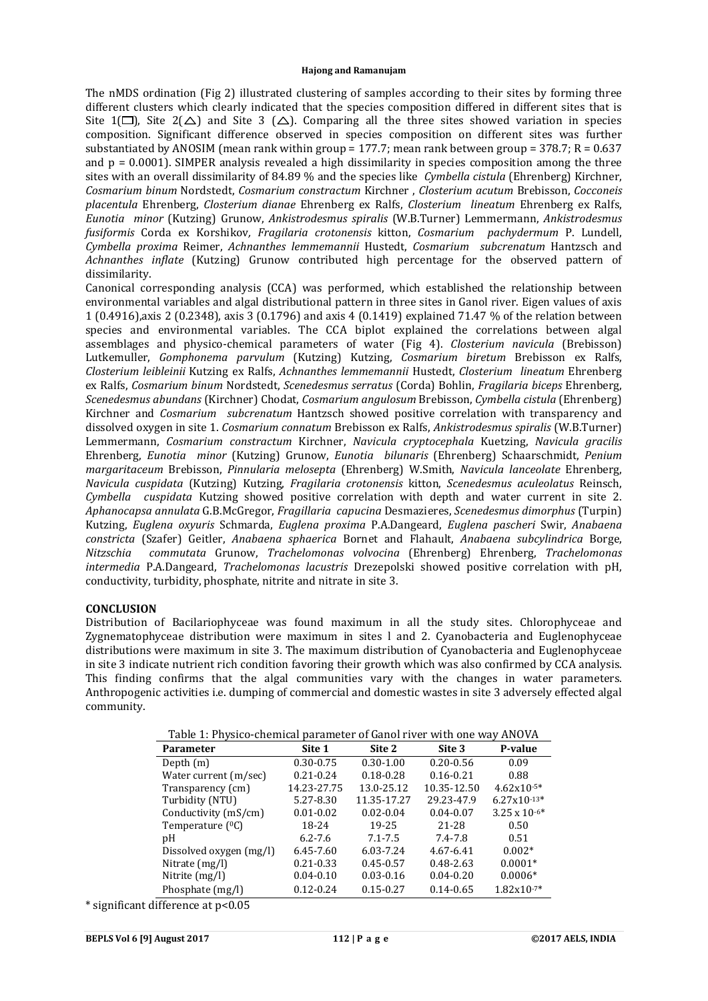The nMDS ordination (Fig 2) illustrated clustering of samples according to their sites by forming three different clusters which clearly indicated that the species composition differed in different sites that is Site 1( $\Box$ ), Site 2( $\triangle$ ) and Site 3 ( $\triangle$ ). Comparing all the three sites showed variation in species composition. Significant difference observed in species composition on different sites was further substantiated by ANOSIM (mean rank within group = 177.7; mean rank between group =  $378.7$ ; R =  $0.637$ and  $p = 0.0001$ ). SIMPER analysis revealed a high dissimilarity in species composition among the three sites with an overall dissimilarity of 84.89 % and the species like *Cymbella cistula* (Ehrenberg) Kirchner, *Cosmarium binum* Nordstedt, *Cosmarium constractum* Kirchner , *Closterium acutum* Brebisson, *Cocconeis placentula* Ehrenberg, *Closterium dianae* Ehrenberg ex Ralfs, *Closterium lineatum* Ehrenberg ex Ralfs, *Eunotia minor* (Kutzing) Grunow, *Ankistrodesmus spiralis* (W.B.Turner) Lemmermann, *Ankistrodesmus fusiformis* Corda ex Korshikov*, Fragilaria crotonensis* kitton, *Cosmarium pachydermum* P. Lundell, *Cymbella proxima* Reimer, *Achnanthes lemmemannii* Hustedt, *Cosmarium subcrenatum* Hantzsch and *Achnanthes inflate* (Kutzing) Grunow contributed high percentage for the observed pattern of dissimilarity.

Canonical corresponding analysis (CCA) was performed, which established the relationship between environmental variables and algal distributional pattern in three sites in Ganol river. Eigen values of axis 1 (0.4916),axis 2 (0.2348), axis 3 (0.1796) and axis 4 (0.1419) explained 71.47 % of the relation between species and environmental variables. The CCA biplot explained the correlations between algal assemblages and physico-chemical parameters of water (Fig 4). *Closterium navicula* (Brebisson) Lutkemuller, *Gomphonema parvulum* (Kutzing) Kutzing, *Cosmarium biretum* Brebisson ex Ralfs, *Closterium leibleinii* Kutzing ex Ralfs, *Achnanthes lemmemannii* Hustedt, *Closterium lineatum* Ehrenberg ex Ralfs, *Cosmarium binum* Nordstedt, *Scenedesmus serratus* (Corda) Bohlin, *Fragilaria biceps* Ehrenberg, *Scenedesmus abundans* (Kirchner) Chodat, *Cosmarium angulosum* Brebisson, *Cymbella cistula* (Ehrenberg) Kirchner and *Cosmarium subcrenatum* Hantzsch showed positive correlation with transparency and dissolved oxygen in site 1. *Cosmarium connatum* Brebisson ex Ralfs, *Ankistrodesmus spiralis* (W.B.Turner) Lemmermann, *Cosmarium constractum* Kirchner, *Navicula cryptocephala* Kuetzing, *Navicula gracilis* Ehrenberg, *Eunotia minor* (Kutzing) Grunow, *Eunotia bilunaris* (Ehrenberg) Schaarschmidt, *Penium margaritaceum* Brebisson, *Pinnularia melosepta* (Ehrenberg) W.Smith, *Navicula lanceolate* Ehrenberg, *Navicula cuspidata* (Kutzing) Kutzing, *Fragilaria crotonensis* kitton, *Scenedesmus aculeolatus* Reinsch, *Cymbella cuspidata* Kutzing showed positive correlation with depth and water current in site 2. *Aphanocapsa annulata* G.B.McGregor, *Fragillaria capucina* Desmazieres, *Scenedesmus dimorphus* (Turpin) Kutzing, *Euglena oxyuris* Schmarda, *Euglena proxima* P.A.Dangeard, *Euglena pascheri* Swir, *Anabaena constricta* (Szafer) Geitler, *Anabaena sphaerica* Bornet and Flahault, *Anabaena subcylindrica* Borge, *Nitzschia commutata* Grunow, *Trachelomonas volvocina* (Ehrenberg) Ehrenberg, *Trachelomonas intermedia* P.A.Dangeard, *Trachelomonas lacustris* Drezepolski showed positive correlation with pH, conductivity, turbidity, phosphate, nitrite and nitrate in site 3.

#### **CONCLUSION**

Distribution of Bacilariophyceae was found maximum in all the study sites. Chlorophyceae and Zygnematophyceae distribution were maximum in sites l and 2. Cyanobacteria and Euglenophyceae distributions were maximum in site 3. The maximum distribution of Cyanobacteria and Euglenophyceae in site 3 indicate nutrient rich condition favoring their growth which was also confirmed by CCA analysis. This finding confirms that the algal communities vary with the changes in water parameters. Anthropogenic activities i.e. dumping of commercial and domestic wastes in site 3 adversely effected algal community.

| Table 1: Physico-chemical parameter of Ganoi Hyer with one way ANOVA |               |               |               |                        |  |  |  |
|----------------------------------------------------------------------|---------------|---------------|---------------|------------------------|--|--|--|
| <b>Parameter</b>                                                     | Site 1        | Site 2        | Site 3        | P-value                |  |  |  |
| Depth $(m)$                                                          | $0.30 - 0.75$ | $0.30 - 1.00$ | $0.20 - 0.56$ | 0.09                   |  |  |  |
| Water current (m/sec)                                                | $0.21 - 0.24$ | $0.18 - 0.28$ | $0.16 - 0.21$ | 0.88                   |  |  |  |
| Transparency (cm)                                                    | 14.23-27.75   | 13.0-25.12    | 10.35-12.50   | $4.62x10^{-5*}$        |  |  |  |
| Turbidity (NTU)                                                      | 5.27-8.30     | 11.35-17.27   | 29.23-47.9    | $6.27x10^{-13*}$       |  |  |  |
| Conductivity (mS/cm)                                                 | $0.01 - 0.02$ | $0.02 - 0.04$ | $0.04 - 0.07$ | $3.25 \times 10^{-6*}$ |  |  |  |
| Temperature $(^{0}C)$                                                | 18-24         | 19-25         | 21-28         | 0.50                   |  |  |  |
| pH                                                                   | $6.2 - 7.6$   | $7.1 - 7.5$   | $7.4 - 7.8$   | 0.51                   |  |  |  |
| Dissolved oxygen (mg/l)                                              | 6.45-7.60     | 6.03-7.24     | $4.67 - 6.41$ | $0.002*$               |  |  |  |
| Nitrate $(mg/l)$                                                     | $0.21 - 0.33$ | $0.45 - 0.57$ | $0.48 - 2.63$ | $0.0001*$              |  |  |  |
| Nitrite (mg/l)                                                       | $0.04 - 0.10$ | $0.03 - 0.16$ | $0.04 - 0.20$ | $0.0006*$              |  |  |  |
| Phosphate (mg/l)                                                     | $0.12 - 0.24$ | $0.15 - 0.27$ | $0.14 - 0.65$ | $1.82x10^{-7*}$        |  |  |  |

Table 1: Physico-chemical parameter of Ganol river with one way ANOVA

\* significant difference at p<0.05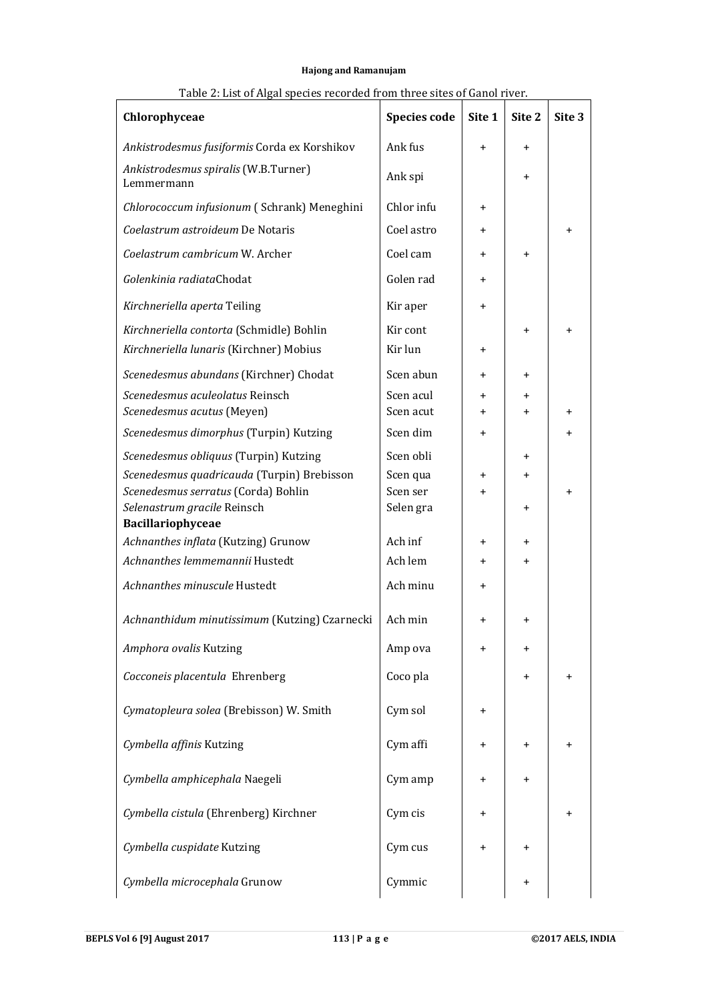| Chlorophyceae                                                                       | <b>Species code</b> | Site 1    | Site <sub>2</sub> | Site 3    |
|-------------------------------------------------------------------------------------|---------------------|-----------|-------------------|-----------|
| Ankistrodesmus fusiformis Corda ex Korshikov                                        | Ank fus             | $\ddot{}$ | $\ddot{}$         |           |
| Ankistrodesmus spiralis (W.B.Turner)<br>Lemmermann                                  | Ank spi             |           | $\pmb{+}$         |           |
| Chlorococcum infusionum (Schrank) Meneghini                                         | Chlor infu          | $\ddot{}$ |                   |           |
| Coelastrum astroideum De Notaris                                                    | Coel astro          | $\ddot{}$ |                   | $\pmb{+}$ |
| Coelastrum cambricum W. Archer                                                      | Coel cam            | $\ddot{}$ | $\pmb{+}$         |           |
| Golenkinia radiataChodat                                                            | Golen rad           | $\ddot{}$ |                   |           |
| Kirchneriella aperta Teiling                                                        | Kir aper            | $\ddot{}$ |                   |           |
| Kirchneriella contorta (Schmidle) Bohlin<br>Kirchneriella lunaris (Kirchner) Mobius | Kir cont<br>Kir lun | $\ddot{}$ | $\pmb{+}$         | $\ddot{}$ |
| Scenedesmus abundans (Kirchner) Chodat                                              | Scen abun           | $\ddot{}$ | $\pmb{+}$         |           |
| Scenedesmus aculeolatus Reinsch                                                     | Scen acul           | $\ddot{}$ | +                 |           |
| Scenedesmus acutus (Meyen)                                                          | Scen acut           | $\ddot{}$ | $\ddot{}$         | $\pmb{+}$ |
| Scenedesmus dimorphus (Turpin) Kutzing                                              | Scen dim            | $\ddot{}$ |                   | $\ddot{}$ |
| Scenedesmus obliquus (Turpin) Kutzing                                               | Scen obli           |           | +                 |           |
| Scenedesmus quadricauda (Turpin) Brebisson                                          | Scen qua            | $\ddot{}$ | $\pmb{+}$         |           |
| Scenedesmus serratus (Corda) Bohlin                                                 | Scen ser            | $\ddot{}$ |                   | $\ddot{}$ |
| Selenastrum gracile Reinsch<br>Bacillariophyceae                                    | Selen gra           |           | $\pmb{+}$         |           |
| Achnanthes inflata (Kutzing) Grunow                                                 | Ach inf             | $\pmb{+}$ | +                 |           |
| Achnanthes lemmemannii Hustedt                                                      | Ach lem             | $\ddot{}$ | $\pmb{+}$         |           |
| Achnanthes minuscule Hustedt                                                        | Ach minu            | $\ddot{}$ |                   |           |
| Achnanthidum minutissimum (Kutzing) Czarnecki                                       | Ach min             | $\ddot{}$ | $\pmb{+}$         |           |
| Amphora ovalis Kutzing                                                              | Amp ova             | $\ddot{}$ | +                 |           |
| Cocconeis placentula Ehrenberg                                                      | Coco pla            |           | $\pmb{+}$         | $\pmb{+}$ |
| Cymatopleura solea (Brebisson) W. Smith                                             | Cym sol             | $\pmb{+}$ |                   |           |
| Cymbella affinis Kutzing                                                            | Cym affi            | $\pmb{+}$ | $\pmb{+}$         | $\pmb{+}$ |
| Cymbella amphicephala Naegeli                                                       | Cym amp             | $\pmb{+}$ | +                 |           |
| Cymbella cistula (Ehrenberg) Kirchner                                               | Cym cis             | $\pmb{+}$ |                   | $\pmb{+}$ |
| Cymbella cuspidate Kutzing                                                          | Cym cus             | $\ddot{}$ | $\pmb{+}$         |           |
| Cymbella microcephala Grunow                                                        | Cymmic              |           | $\pmb{+}$         |           |

# Table 2: List of Algal species recorded from three sites of Ganol river.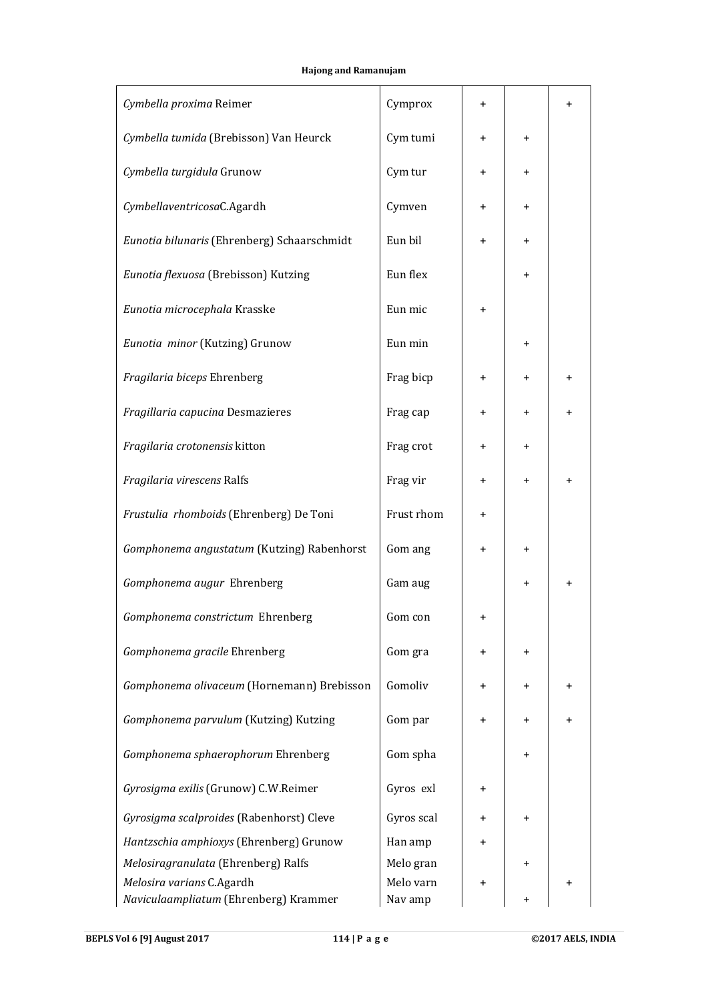| Cymbella proxima Reimer                     | Cymprox    | $\pmb{+}$ |           | +           |  |
|---------------------------------------------|------------|-----------|-----------|-------------|--|
| Cymbella tumida (Brebisson) Van Heurck      | Cym tumi   | $\ddot{}$ | $\pmb{+}$ |             |  |
| Cymbella turgidula Grunow                   | Cym tur    | $\ddot{}$ | $\ddot{}$ |             |  |
| CymbellaventricosaC.Agardh                  | Cymven     | $\ddot{}$ | $\pmb{+}$ |             |  |
| Eunotia bilunaris (Ehrenberg) Schaarschmidt | Eun bil    | $\pmb{+}$ | $\ddot{}$ |             |  |
| Eunotia flexuosa (Brebisson) Kutzing        | Eun flex   |           | $\ddot{}$ |             |  |
| Eunotia microcephala Krasske                | Eun mic    | $\ddot{}$ |           |             |  |
| Eunotia minor (Kutzing) Grunow              | Eun min    |           | +         |             |  |
| Fragilaria biceps Ehrenberg                 | Frag bicp  | $\ddot{}$ | $\pmb{+}$ | $\pmb{+}$   |  |
| Fragillaria capucina Desmazieres            | Frag cap   | $\ddot{}$ | $\pmb{+}$ | $\pmb{+}$   |  |
| Fragilaria crotonensis kitton               | Frag crot  | $\ddot{}$ | $\pmb{+}$ |             |  |
| Fragilaria virescens Ralfs                  | Frag vir   | $\ddot{}$ | $\ddot{}$ | $\pmb{+}$   |  |
| Frustulia rhomboids (Ehrenberg) De Toni     | Frust rhom | $\ddot{}$ |           |             |  |
| Gomphonema angustatum (Kutzing) Rabenhorst  | Gom ang    | $\ddot{}$ | $\pmb{+}$ |             |  |
| Gomphonema augur Ehrenberg                  | Gam aug    |           | $\pmb{+}$ | $\pmb{+}$   |  |
| Gomphonema constrictum Ehrenberg            | Gom con    | +         |           |             |  |
| Gomphonema gracile Ehrenberg                | Gom gra    | $\ddot{}$ | $\pmb{+}$ |             |  |
| Gomphonema olivaceum (Hornemann) Brebisson  | Gomoliv    | $\pmb{+}$ | $\pmb{+}$ | $\mathbf +$ |  |
| Gomphonema parvulum (Kutzing) Kutzing       | Gom par    | $\pmb{+}$ | $\pmb{+}$ | $\pmb{+}$   |  |
| Gomphonema sphaerophorum Ehrenberg          | Gom spha   |           | +         |             |  |
| Gyrosigma exilis (Grunow) C.W.Reimer        | Gyros exl  | $\pmb{+}$ |           |             |  |
| Gyrosigma scalproides (Rabenhorst) Cleve    | Gyros scal | $\pmb{+}$ | $\pmb{+}$ |             |  |
| Hantzschia amphioxys (Ehrenberg) Grunow     | Han amp    | $\pmb{+}$ |           |             |  |
| Melosiragranulata (Ehrenberg) Ralfs         | Melo gran  |           |           |             |  |
| Melosira varians C.Agardh                   | Melo varn  | $\pmb{+}$ |           | $\pmb{+}$   |  |
| Naviculaampliatum (Ehrenberg) Krammer       | Nav amp    |           | $\pmb{+}$ |             |  |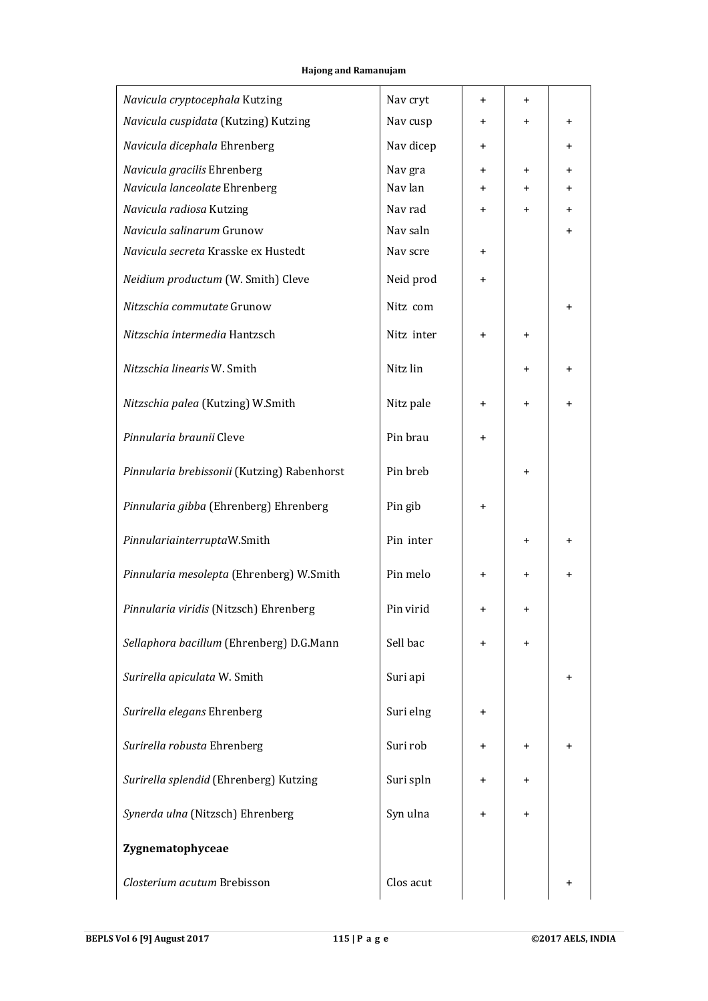| Navicula cryptocephala Kutzing              | Nav cryt   | $\ddot{}$ | $\pmb{+}$ |           |
|---------------------------------------------|------------|-----------|-----------|-----------|
| Navicula cuspidata (Kutzing) Kutzing        | Nav cusp   | $\ddot{}$ | $\ddot{}$ | $\pmb{+}$ |
| Navicula dicephala Ehrenberg                | Nav dicep  | $\ddot{}$ |           | $\ddot{}$ |
| Navicula gracilis Ehrenberg                 | Nav gra    | $\ddot{}$ | $\ddot{}$ | $\ddot{}$ |
| Navicula lanceolate Ehrenberg               | Nav lan    | $\ddot{}$ | $\pmb{+}$ | $\ddot{}$ |
| Navicula radiosa Kutzing                    | Nav rad    | $\ddot{}$ | $\ddot{}$ | $\ddot{}$ |
| Navicula salinarum Grunow                   | Nav saln   |           |           | $\ddot{}$ |
| Navicula secreta Krasske ex Hustedt         | Nav scre   | $\ddot{}$ |           |           |
| Neidium productum (W. Smith) Cleve          | Neid prod  | $\ddot{}$ |           |           |
| Nitzschia commutate Grunow                  | Nitz com   |           |           | $\pmb{+}$ |
| Nitzschia intermedia Hantzsch               | Nitz inter | $\ddot{}$ | $\ddot{}$ |           |
| Nitzschia linearis W. Smith                 | Nitz lin   |           | $\ddot{}$ | $\ddot{}$ |
| Nitzschia palea (Kutzing) W.Smith           | Nitz pale  | $\ddot{}$ | $\pmb{+}$ | $\pmb{+}$ |
| Pinnularia braunii Cleve                    | Pin brau   | $\ddot{}$ |           |           |
| Pinnularia brebissonii (Kutzing) Rabenhorst | Pin breb   |           | $\pmb{+}$ |           |
| Pinnularia gibba (Ehrenberg) Ehrenberg      | Pin gib    | $\ddot{}$ |           |           |
| PinnulariainterruptaW.Smith                 | Pin inter  |           | $\ddot{}$ | $\pmb{+}$ |
| Pinnularia mesolepta (Ehrenberg) W.Smith    | Pin melo   | $\ddot{}$ | $\ddot{}$ | $\pmb{+}$ |
| Pinnularia viridis (Nitzsch) Ehrenberg      | Pin virid  | $\ddot{}$ | $\ddot{}$ |           |
| Sellaphora bacillum (Ehrenberg) D.G.Mann    | Sell bac   | $\pmb{+}$ | $\ddot{}$ |           |
| Surirella apiculata W. Smith                | Suri api   |           |           | $\pmb{+}$ |
| Surirella elegans Ehrenberg                 | Suri elng  | $\pmb{+}$ |           |           |
| Surirella robusta Ehrenberg                 | Suri rob   | $\pmb{+}$ | $\pmb{+}$ | +         |
| Surirella splendid (Ehrenberg) Kutzing      | Suri spln  | $\ddot{}$ | +         |           |
| Synerda ulna (Nitzsch) Ehrenberg            | Syn ulna   | $\pmb{+}$ | $\pmb{+}$ |           |
| Zygnematophyceae                            |            |           |           |           |
| Closterium acutum Brebisson                 | Clos acut  |           |           |           |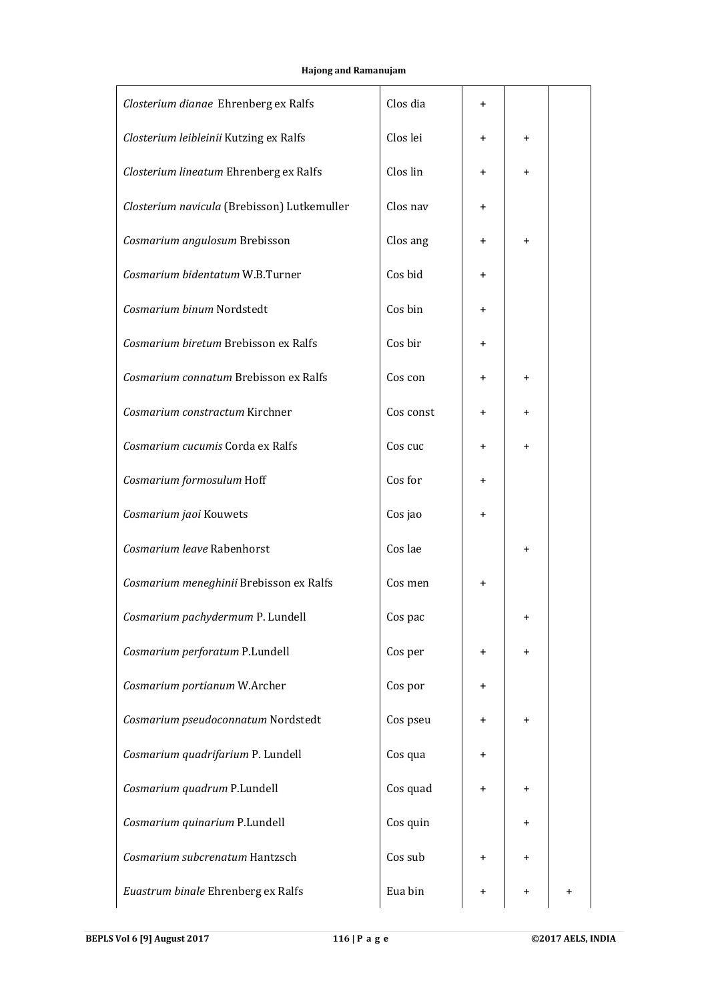| Closterium dianae Ehrenberg ex Ralfs        | Clos dia  | $\ddot{}$ |           |  |
|---------------------------------------------|-----------|-----------|-----------|--|
| Closterium leibleinii Kutzing ex Ralfs      | Clos lei  | $\ddot{}$ | $\pmb{+}$ |  |
| Closterium lineatum Ehrenberg ex Ralfs      | Clos lin  | $\ddot{}$ | $\pmb{+}$ |  |
| Closterium navicula (Brebisson) Lutkemuller | Clos nav  | $\ddot{}$ |           |  |
| Cosmarium angulosum Brebisson               | Clos ang  | $\ddot{}$ | $\pmb{+}$ |  |
| Cosmarium bidentatum W.B.Turner             | Cos bid   | $\ddot{}$ |           |  |
| Cosmarium binum Nordstedt                   | Cos bin   | $\ddot{}$ |           |  |
| Cosmarium biretum Brebisson ex Ralfs        | Cos bir   | $\ddot{}$ |           |  |
| Cosmarium connatum Brebisson ex Ralfs       | Cos con   | $\ddot{}$ | $\pmb{+}$ |  |
| Cosmarium constractum Kirchner              | Cos const | $\ddot{}$ | $\pmb{+}$ |  |
| Cosmarium cucumis Corda ex Ralfs            | Cos cuc   | $\ddot{}$ | $\pmb{+}$ |  |
| Cosmarium formosulum Hoff                   | Cos for   | $\ddot{}$ |           |  |
| Cosmarium jaoi Kouwets                      | Cos jao   | $\pmb{+}$ |           |  |
| Cosmarium leave Rabenhorst                  | Cos lae   |           | $\pmb{+}$ |  |
| Cosmarium meneghinii Brebisson ex Ralfs     | Cos men   | $\ddot{}$ |           |  |
| Cosmarium pachydermum P. Lundell            | Cos pac   |           |           |  |
| Cosmarium perforatum P.Lundell              | Cos per   | $\ddot{}$ | +         |  |
| Cosmarium portianum W.Archer                | Cos por   | $\ddot{}$ |           |  |
| Cosmarium pseudoconnatum Nordstedt          | Cos pseu  | $\ddot{}$ | $\pmb{+}$ |  |
| Cosmarium quadrifarium P. Lundell           | Cos qua   | $\ddot{}$ |           |  |
| Cosmarium quadrum P.Lundell                 | Cos quad  | $\ddot{}$ | $\pmb{+}$ |  |
| Cosmarium quinarium P.Lundell               | Cos quin  |           | +         |  |
| Cosmarium subcrenatum Hantzsch              | Cos sub   | $\ddot{}$ | +         |  |
| Euastrum binale Ehrenberg ex Ralfs          | Eua bin   | $\ddot{}$ | $\ddot{}$ |  |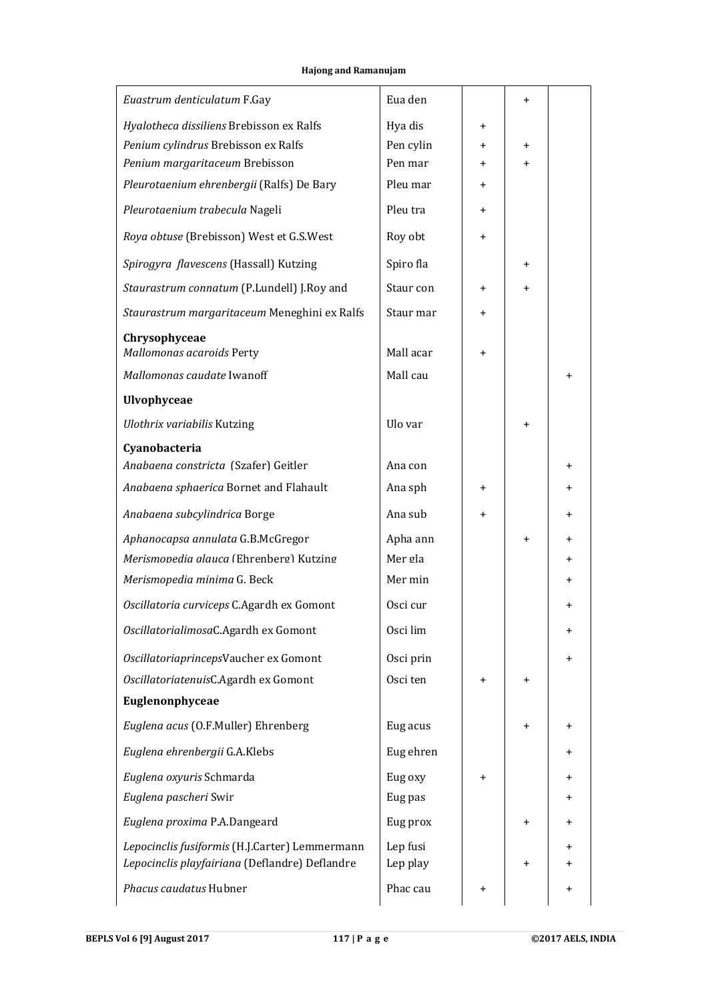| Euastrum denticulatum F.Gay                                                  | Eua den             |                | $\pmb{+}$ |           |
|------------------------------------------------------------------------------|---------------------|----------------|-----------|-----------|
| Hyalotheca dissiliens Brebisson ex Ralfs                                     | Hya dis             | $\ddot{}$      |           |           |
| Penium cylindrus Brebisson ex Ralfs                                          | Pen cylin           | $\pm$          | $\pmb{+}$ |           |
| Penium margaritaceum Brebisson                                               | Pen mar             | $\ddot{}$      | $\ddot{}$ |           |
| Pleurotaenium ehrenbergii (Ralfs) De Bary                                    | Pleu mar            | $\overline{+}$ |           |           |
| Pleurotaenium trabecula Nageli                                               | Pleu tra            | $\ddot{}$      |           |           |
| Roya obtuse (Brebisson) West et G.S.West                                     | Roy obt             | $\ddot{}$      |           |           |
| Spirogyra flavescens (Hassall) Kutzing                                       | Spiro fla           |                | $\ddot{}$ |           |
| Staurastrum connatum (P.Lundell) J.Roy and                                   | Staur con           | $\ddot{}$      | $\pmb{+}$ |           |
| Staurastrum margaritaceum Meneghini ex Ralfs                                 | Staur mar           | +              |           |           |
| Chrysophyceae<br>Mallomonas acaroids Perty                                   | Mall acar           |                |           |           |
|                                                                              |                     | $\pmb{+}$      |           |           |
| Mallomonas caudate Iwanoff                                                   | Mall cau            |                |           | $\ddot{}$ |
| <b>Ulvophyceae</b>                                                           |                     |                |           |           |
| <b>Ulothrix variabilis Kutzing</b>                                           | Ulo var             |                | $\pmb{+}$ |           |
| Cyanobacteria<br>Anabaena constricta (Szafer) Geitler                        | Ana con             |                |           | $\ddot{}$ |
| Anabaena sphaerica Bornet and Flahault                                       | Ana sph             | $\pm$          |           | $\ddot{}$ |
| Anabaena subcylindrica Borge                                                 | Ana sub             | +              |           | $\ddot{}$ |
|                                                                              |                     |                |           |           |
| Aphanocapsa annulata G.B.McGregor<br>Merismonedia alauca (Ehrenberg) Kutzing | Apha ann<br>Mer gla |                | $\ddot{}$ | $\ddot{}$ |
|                                                                              | Mer min             |                |           | $\ddot{}$ |
| Merismopedia minima G. Beck                                                  |                     |                |           | $\ddot{}$ |
| Oscillatoria curviceps C.Agardh ex Gomont                                    | Osci cur            |                |           | $\ddot{}$ |
| OscillatorialimosaC.Agardh ex Gomont                                         | Osci lim            |                |           | $\pmb{+}$ |
| OscillatoriaprincepsVaucher ex Gomont                                        | Osci prin           |                |           | $\ddot{}$ |
| OscillatoriatenuisC.Agardh ex Gomont                                         | Osci ten            | $\pm$          | $\pmb{+}$ |           |
| Euglenonphyceae                                                              |                     |                |           |           |
| Euglena acus (O.F.Muller) Ehrenberg                                          | Eug acus            |                | $\pmb{+}$ | +         |
| Euglena ehrenbergii G.A.Klebs                                                | Eug ehren           |                |           | +         |
| Euglena oxyuris Schmarda                                                     | Eug oxy             | $\pmb{+}$      |           | $\ddot{}$ |
| Euglena pascheri Swir                                                        | Eug pas             |                |           | $\pm$     |
| Euglena proxima P.A.Dangeard                                                 | Eug prox            |                | $\ddot{}$ | $\pm$     |
| Lepocinclis fusiformis (H.J.Carter) Lemmermann                               | Lep fusi            |                |           | $\ddot{}$ |
| Lepocinclis playfairiana (Deflandre) Deflandre                               | Lep play            |                | $\pmb{+}$ |           |
| Phacus caudatus Hubner                                                       | Phac cau            | +              |           | $\ddot{}$ |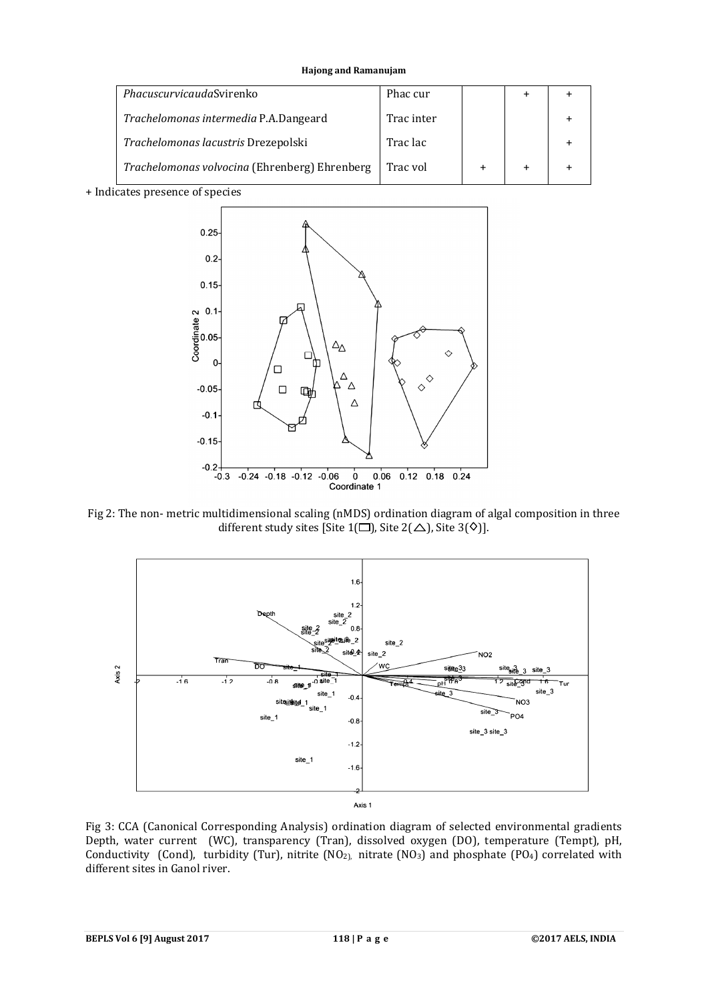| PhacuscurvicaudaSvirenko                      | Phac cur   |  |  |
|-----------------------------------------------|------------|--|--|
| Trachelomonas intermedia P.A.Dangeard         | Trac inter |  |  |
| Trachelomonas lacustris Drezepolski           | Trac lac   |  |  |
| Trachelomonas volvocina (Ehrenberg) Ehrenberg | Trac vol   |  |  |

+ Indicates presence of species



Fig 2: The non- metric multidimensional scaling (nMDS) ordination diagram of algal composition in three different study sites [Site 1( $\square$ ), Site 2( $\triangle$ ), Site 3( $\lozenge$ )].



Fig 3: CCA (Canonical Corresponding Analysis) ordination diagram of selected environmental gradients Depth, water current (WC), transparency (Tran), dissolved oxygen (DO), temperature (Tempt), pH, Conductivity (Cond), turbidity (Tur), nitrite (NO<sub>2)</sub>, nitrate (NO<sub>3</sub>) and phosphate (PO<sub>4</sub>) correlated with different sites in Ganol river.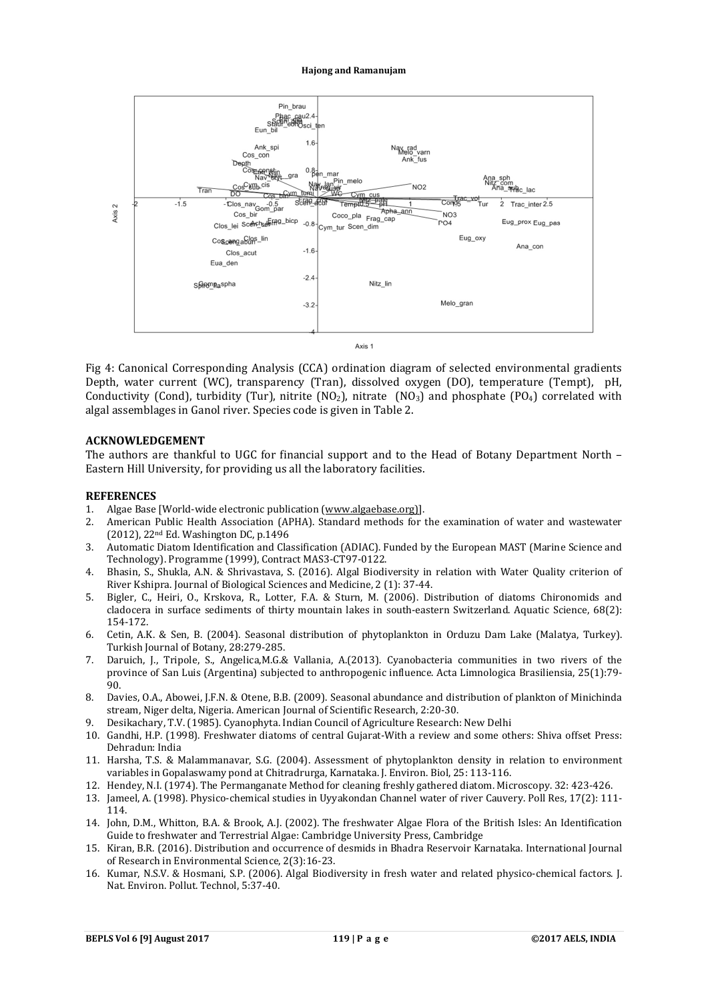

Fig 4: Canonical Corresponding Analysis (CCA) ordination diagram of selected environmental gradients Depth, water current (WC), transparency (Tran), dissolved oxygen (DO), temperature (Tempt), pH, Conductivity (Cond), turbidity (Tur), nitrite (NO<sub>2</sub>), nitrate (NO<sub>3</sub>) and phosphate (PO<sub>4</sub>) correlated with algal assemblages in Ganol river. Species code is given in Table 2.

# **ACKNOWLEDGEMENT**

The authors are thankful to UGC for financial support and to the Head of Botany Department North – Eastern Hill University, for providing us all the laboratory facilities.

#### **REFERENCES**

- 1. Algae Base [World-wide electronic publication (www.algaebase.org)].
- 2. American Public Health Association (APHA). Standard methods for the examination of water and wastewater (2012), 22nd Ed. Washington DC, p.1496
- 3. Automatic Diatom Identification and Classification (ADIAC). Funded by the European MAST (Marine Science and Technology). Programme (1999), Contract MAS3-CT97-0122.
- 4. Bhasin, S., Shukla, A.N. & Shrivastava, S. (2016). Algal Biodiversity in relation with Water Quality criterion of River Kshipra. Journal of Biological Sciences and Medicine, 2 (1): 37-44.
- 5. Bigler, C., Heiri, O., Krskova, R., Lotter, F.A. & Sturn, M. (2006). Distribution of diatoms Chironomids and cladocera in surface sediments of thirty mountain lakes in south-eastern Switzerland. Aquatic Science, 68(2): 154-172.
- 6. Cetin, A.K. & Sen, B. (2004). Seasonal distribution of phytoplankton in Orduzu Dam Lake (Malatya, Turkey). Turkish Journal of Botany, 28:279-285.
- 7. Daruich, J., Tripole, S., Angelica,M.G.& Vallania, A.(2013). Cyanobacteria communities in two rivers of the province of San Luis (Argentina) subjected to anthropogenic influence. Acta Limnologica Brasiliensia, 25(1):79- 90.
- 8. Davies, O.A., Abowei, J.F.N. & Otene, B.B. (2009). Seasonal abundance and distribution of plankton of Minichinda stream, Niger delta, Nigeria. American Journal of Scientific Research, 2:20-30.
- 9. Desikachary, T.V. (1985). Cyanophyta. Indian Council of Agriculture Research: New Delhi
- 10. Gandhi, H.P. (1998). Freshwater diatoms of central Gujarat-With a review and some others: Shiva offset Press: Dehradun: India
- 11. Harsha, T.S. & Malammanavar, S.G. (2004). Assessment of phytoplankton density in relation to environment variables in Gopalaswamy pond at Chitradrurga, Karnataka. J. Environ. Biol, 25: 113-116.
- 12. Hendey, N.I. (1974). The Permanganate Method for cleaning freshly gathered diatom. Microscopy. 32: 423-426.
- 13. Jameel, A. (1998). Physico-chemical studies in Uyyakondan Channel water of river Cauvery. Poll Res, 17(2): 111- 114.
- 14. John, D.M., Whitton, B.A. & Brook, A.J. (2002). The freshwater Algae Flora of the British Isles: An Identification Guide to freshwater and Terrestrial Algae: Cambridge University Press, Cambridge
- 15. Kiran, B.R. (2016). Distribution and occurrence of desmids in Bhadra Reservoir Karnataka. International Journal of Research in Environmental Science, 2(3):16-23.
- 16. Kumar, N.S.V. & Hosmani, S.P. (2006). Algal Biodiversity in fresh water and related physico-chemical factors. J. Nat. Environ. Pollut. Technol, 5:37-40.